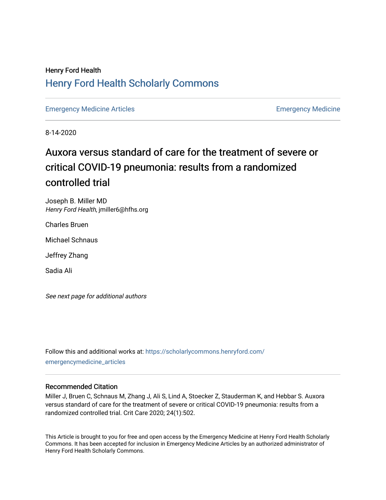# Henry Ford Health [Henry Ford Health Scholarly Commons](https://scholarlycommons.henryford.com/)

[Emergency Medicine Articles](https://scholarlycommons.henryford.com/emergencymedicine_articles) **Emergency Medicine** 

8-14-2020

# Auxora versus standard of care for the treatment of severe or critical COVID-19 pneumonia: results from a randomized controlled trial

Joseph B. Miller MD Henry Ford Health, jmiller6@hfhs.org

Charles Bruen

Michael Schnaus

Jeffrey Zhang

Sadia Ali

See next page for additional authors

Follow this and additional works at: [https://scholarlycommons.henryford.com/](https://scholarlycommons.henryford.com/emergencymedicine_articles?utm_source=scholarlycommons.henryford.com%2Femergencymedicine_articles%2F204&utm_medium=PDF&utm_campaign=PDFCoverPages) [emergencymedicine\\_articles](https://scholarlycommons.henryford.com/emergencymedicine_articles?utm_source=scholarlycommons.henryford.com%2Femergencymedicine_articles%2F204&utm_medium=PDF&utm_campaign=PDFCoverPages) 

## Recommended Citation

Miller J, Bruen C, Schnaus M, Zhang J, Ali S, Lind A, Stoecker Z, Stauderman K, and Hebbar S. Auxora versus standard of care for the treatment of severe or critical COVID-19 pneumonia: results from a randomized controlled trial. Crit Care 2020; 24(1):502.

This Article is brought to you for free and open access by the Emergency Medicine at Henry Ford Health Scholarly Commons. It has been accepted for inclusion in Emergency Medicine Articles by an authorized administrator of Henry Ford Health Scholarly Commons.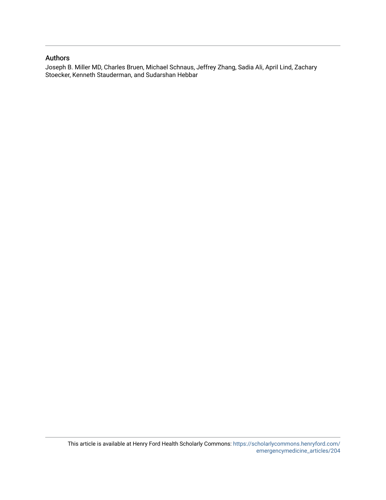# Authors

Joseph B. Miller MD, Charles Bruen, Michael Schnaus, Jeffrey Zhang, Sadia Ali, April Lind, Zachary Stoecker, Kenneth Stauderman, and Sudarshan Hebbar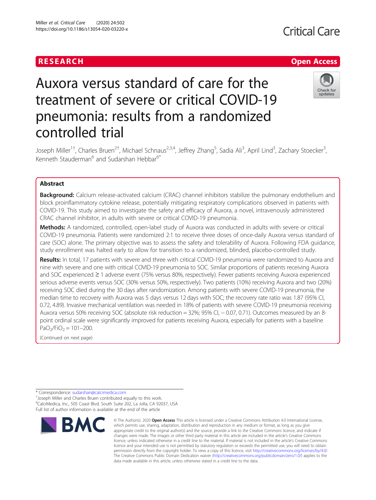# RESEARCH **RESEARCH CHANNEL EXECUTE ACCESS**

# Check for updates

# Auxora versus standard of care for the treatment of severe or critical COVID-19 pneumonia: results from a randomized controlled trial

Joseph Miller<sup>1†</sup>, Charles Bruen<sup>2†</sup>, Michael Schnaus<sup>2,3,4</sup>, Jeffrey Zhang<sup>5</sup>, Sadia Ali<sup>3</sup>, April Lind<sup>3</sup>, Zachary Stoecker<sup>3</sup> , Kenneth Stauderman<sup>6</sup> and Sudarshan Hebbar<sup>6\*</sup>

### Abstract

Background: Calcium release-activated calcium (CRAC) channel inhibitors stabilize the pulmonary endothelium and block proinflammatory cytokine release, potentially mitigating respiratory complications observed in patients with COVID-19. This study aimed to investigate the safety and efficacy of Auxora, a novel, intravenously administered CRAC channel inhibitor, in adults with severe or critical COVID-19 pneumonia.

Methods: A randomized, controlled, open-label study of Auxora was conducted in adults with severe or critical COVID-19 pneumonia. Patients were randomized 2:1 to receive three doses of once-daily Auxora versus standard of care (SOC) alone. The primary objective was to assess the safety and tolerability of Auxora. Following FDA guidance, study enrollment was halted early to allow for transition to a randomized, blinded, placebo-controlled study.

Results: In total, 17 patients with severe and three with critical COVID-19 pneumonia were randomized to Auxora and nine with severe and one with critical COVID-19 pneumonia to SOC. Similar proportions of patients receiving Auxora and SOC experienced ≥ 1 adverse event (75% versus 80%, respectively). Fewer patients receiving Auxora experienced serious adverse events versus SOC (30% versus 50%, respectively). Two patients (10%) receiving Auxora and two (20%) receiving SOC died during the 30 days after randomization. Among patients with severe COVID-19 pneumonia, the median time to recovery with Auxora was 5 days versus 12 days with SOC; the recovery rate ratio was 1.87 (95% CI, 0.72, 4.89). Invasive mechanical ventilation was needed in 18% of patients with severe COVID-19 pneumonia receiving Auxora versus 50% receiving SOC (absolute risk reduction = 32%; 95% CI, − 0.07, 0.71). Outcomes measured by an 8 point ordinal scale were significantly improved for patients receiving Auxora, especially for patients with a baseline  $PaO<sub>2</sub>/FiO<sub>2</sub> = 101–200.$ 

(Continued on next page)

<sup>+</sup> Joseph Miller and Charles Bruen contributed equally to this work. 6 CalciMedica, Inc., 505 Coast Blvd. South Suite 202, La Jolla, CA 92037, USA Full list of author information is available at the end of the article



<sup>©</sup> The Author(s), 2020 **Open Access** This article is licensed under a Creative Commons Attribution 4.0 International License, which permits use, sharing, adaptation, distribution and reproduction in any medium or format, as long as you give appropriate credit to the original author(s) and the source, provide a link to the Creative Commons licence, and indicate if changes were made. The images or other third party material in this article are included in the article's Creative Commons licence, unless indicated otherwise in a credit line to the material. If material is not included in the article's Creative Commons licence and your intended use is not permitted by statutory regulation or exceeds the permitted use, you will need to obtain permission directly from the copyright holder. To view a copy of this licence, visit [http://creativecommons.org/licenses/by/4.0/.](http://creativecommons.org/licenses/by/4.0/) The Creative Commons Public Domain Dedication waiver [\(http://creativecommons.org/publicdomain/zero/1.0/](http://creativecommons.org/publicdomain/zero/1.0/)) applies to the data made available in this article, unless otherwise stated in a credit line to the data.

<sup>\*</sup> Correspondence: [sudarshan@calcimedica.com](mailto:sudarshan@calcimedica.com) †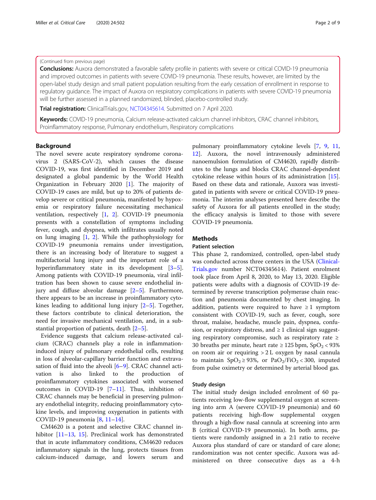#### (Continued from previous page)

**Conclusions:** Auxora demonstrated a favorable safety profile in patients with severe or critical COVID-19 pneumonia and improved outcomes in patients with severe COVID-19 pneumonia. These results, however, are limited by the open-label study design and small patient population resulting from the early cessation of enrollment in response to regulatory guidance. The impact of Auxora on respiratory complications in patients with severe COVID-19 pneumonia will be further assessed in a planned randomized, blinded, placebo-controlled study.

**Trial registration:** ClinicalTrials.gov, [NCT04345614.](https://clinicaltrials.gov/ct2/show/NCT04345614) Submitted on 7 April 2020.

Keywords: COVID-19 pneumonia, Calcium release-activated calcium channel inhibitors, CRAC channel inhibitors, Proinflammatory response, Pulmonary endothelium, Respiratory complications

#### Background

The novel severe acute respiratory syndrome coronavirus 2 (SARS-CoV-2), which causes the disease COVID-19, was first identified in December 2019 and designated a global pandemic by the World Health Organization in February 2020 [[1\]](#page-10-0). The majority of COVID-19 cases are mild, but up to 20% of patients develop severe or critical pneumonia, manifested by hypoxemia or respiratory failure necessitating mechanical ventilation, respectively [[1](#page-10-0), [2](#page-10-0)]. COVID-19 pneumonia presents with a constellation of symptoms including fever, cough, and dyspnea, with infiltrates usually noted on lung imaging [[1,](#page-10-0) [2](#page-10-0)]. While the pathophysiology for COVID-19 pneumonia remains under investigation, there is an increasing body of literature to suggest a multifactorial lung injury and the important role of a hyperinflammatory state in its development [\[3](#page-10-0)–[5](#page-10-0)]. Among patients with COVID-19 pneumonia, viral infiltration has been shown to cause severe endothelial injury and diffuse alveolar damage [[2](#page-10-0)–[5](#page-10-0)]. Furthermore, there appears to be an increase in proinflammatory cytokines leading to additional lung injury [[2](#page-10-0)–[5\]](#page-10-0). Together, these factors contribute to clinical deterioration, the need for invasive mechanical ventilation, and, in a substantial proportion of patients, death [\[2](#page-10-0)–[5\]](#page-10-0).

Evidence suggests that calcium release-activated calcium (CRAC) channels play a role in inflammationinduced injury of pulmonary endothelial cells, resulting in loss of alveolar-capillary barrier function and extravasation of fluid into the alveoli [\[6](#page-10-0)–[9\]](#page-10-0). CRAC channel activation is also linked to the production of proinflammatory cytokines associated with worsened outcomes in COVID-19 [[7](#page-10-0)–[11\]](#page-10-0). Thus, inhibition of CRAC channels may be beneficial in preserving pulmonary endothelial integrity, reducing proinflammatory cytokine levels, and improving oxygenation in patients with COVID-19 pneumonia [[8,](#page-10-0) [11](#page-10-0)–[14](#page-10-0)].

CM4620 is a potent and selective CRAC channel in-hibitor [[11](#page-10-0)–[13,](#page-10-0) [15](#page-10-0)]. Preclinical work has demonstrated that in acute inflammatory conditions, CM4620 reduces inflammatory signals in the lung, protects tissues from calcium-induced damage, and lowers serum and pulmonary proinflammatory cytokine levels [[7,](#page-10-0) [9,](#page-10-0) [11](#page-10-0), [12\]](#page-10-0). Auxora, the novel intravenously administered nanoemulsion formulation of CM4620, rapidly distributes to the lungs and blocks CRAC channel-dependent cytokine release within hours of its administration [\[15](#page-10-0)]. Based on these data and rationale, Auxora was investigated in patients with severe or critical COVID-19 pneumonia. The interim analyses presented here describe the safety of Auxora for all patients enrolled in the study; the efficacy analysis is limited to those with severe COVID-19 pneumonia.

#### Methods

#### Patient selection

This phase 2, randomized, controlled, open-label study was conducted across three centers in the USA ([Clinical-](http://clinicaltrials.gov)[Trials.gov](http://clinicaltrials.gov) number NCT04345614). Patient enrolment took place from April 8, 2020, to May 13, 2020. Eligible patients were adults with a diagnosis of COVID-19 determined by reverse transcription polymerase chain reaction and pneumonia documented by chest imaging. In addition, patients were required to have  $\geq 1$  symptom consistent with COVID-19, such as fever, cough, sore throat, malaise, headache, muscle pain, dyspnea, confusion, or respiratory distress, and  $\geq 1$  clinical sign suggesting respiratory compromise, such as respiratory rate  $\geq$ 30 breaths per minute, heart rate  $\geq 125$  bpm,  $SpO<sub>2</sub> < 93%$ on room air or requiring > 2 L oxygen by nasal cannula to maintain  $SpO_2 \geq 93\%$ , or  $PaO_2/FiO_2 < 300$ , imputed from pulse oximetry or determined by arterial blood gas.

#### Study design

The initial study design included enrolment of 60 patients receiving low-flow supplemental oxygen at screening into arm A (severe COVID-19 pneumonia) and 60 patients receiving high-flow supplemental oxygen through a high-flow nasal cannula at screening into arm B (critical COVID-19 pneumonia). In both arms, patients were randomly assigned in a 2:1 ratio to receive Auxora plus standard of care or standard of care alone; randomization was not center specific. Auxora was administered on three consecutive days as a 4-h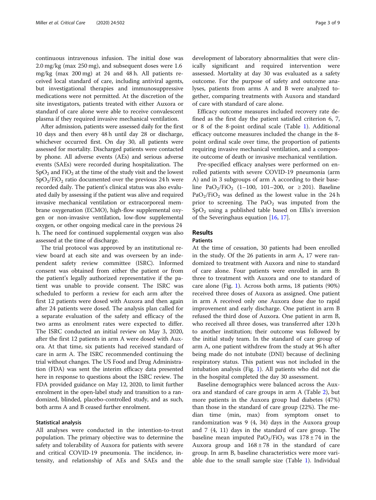continuous intravenous infusion. The initial dose was 2.0 mg/kg (max 250 mg), and subsequent doses were 1.6 mg/kg (max 200 mg) at 24 and 48 h. All patients received local standard of care, including antiviral agents, but investigational therapies and immunosuppressive medications were not permitted. At the discretion of the site investigators, patients treated with either Auxora or standard of care alone were able to receive convalescent plasma if they required invasive mechanical ventilation.

After admission, patients were assessed daily for the first 10 days and then every 48 h until day 28 or discharge, whichever occurred first. On day 30, all patients were assessed for mortality. Discharged patients were contacted by phone. All adverse events (AEs) and serious adverse events (SAEs) were recorded during hospitalization. The  $SpO<sub>2</sub>$  and  $FiO<sub>2</sub>$  at the time of the study visit and the lowest  $SpO<sub>2</sub>/FiO<sub>2</sub>$  ratio documented over the previous 24 h were recorded daily. The patient's clinical status was also evaluated daily by assessing if the patient was alive and required invasive mechanical ventilation or extracorporeal membrane oxygenation (ECMO), high-flow supplemental oxygen or non-invasive ventilation, low-flow supplemental oxygen, or other ongoing medical care in the previous 24 h. The need for continued supplemental oxygen was also assessed at the time of discharge.

The trial protocol was approved by an institutional review board at each site and was overseen by an independent safety review committee (ISRC). Informed consent was obtained from either the patient or from the patient's legally authorized representative if the patient was unable to provide consent. The ISRC was scheduled to perform a review for each arm after the first 12 patients were dosed with Auxora and then again after 24 patients were dosed. The analysis plan called for a separate evaluation of the safety and efficacy of the two arms as enrolment rates were expected to differ. The ISRC conducted an initial review on May 3, 2020, after the first 12 patients in arm A were dosed with Auxora. At that time, six patients had received standard of care in arm A. The ISRC recommended continuing the trial without changes. The US Food and Drug Administration (FDA) was sent the interim efficacy data presented here in response to questions about the ISRC review. The FDA provided guidance on May 12, 2020, to limit further enrolment in the open-label study and transition to a randomized, blinded, placebo-controlled study, and as such, both arms A and B ceased further enrolment.

#### Statistical analysis

All analyses were conducted in the intention-to-treat population. The primary objective was to determine the safety and tolerability of Auxora for patients with severe and critical COVID-19 pneumonia. The incidence, intensity, and relationship of AEs and SAEs and the development of laboratory abnormalities that were clinically significant and required intervention were assessed. Mortality at day 30 was evaluated as a safety outcome. For the purpose of safety and outcome analyses, patients from arms A and B were analyzed together, comparing treatments with Auxora and standard of care with standard of care alone.

Efficacy outcome measures included recovery rate defined as the first day the patient satisfied criterion 6, 7, or 8 of the 8-point ordinal scale (Table [1\)](#page-5-0). Additional efficacy outcome measures included the change in the 8 point ordinal scale over time, the proportion of patients requiring invasive mechanical ventilation, and a composite outcome of death or invasive mechanical ventilation.

Pre-specified efficacy analyses were performed on enrolled patients with severe COVID-19 pneumonia (arm A) and in 3 subgroups of arm A according to their baseline PaO<sub>2</sub>/FiO<sub>2</sub> (1–100, 101–200, or  $\geq 201$ ). Baseline  $PaO<sub>2</sub>/FiO<sub>2</sub>$  was defined as the lowest value in the 24 h prior to screening. The  $PaO<sub>2</sub>$  was imputed from the  $SpO<sub>2</sub>$  using a published table based on Ellis's inversion of the Severinghaus equation [[16](#page-10-0), [17](#page-10-0)].

### Results

### Patients

At the time of cessation, 30 patients had been enrolled in the study. Of the 26 patients in arm A, 17 were randomized to treatment with Auxora and nine to standard of care alone. Four patients were enrolled in arm B: three to treatment with Auxora and one to standard of care alone (Fig. [1](#page-5-0)). Across both arms, 18 patients (90%) received three doses of Auxora as assigned. One patient in arm A received only one Auxora dose due to rapid improvement and early discharge. One patient in arm B refused the third dose of Auxora. One patient in arm B, who received all three doses, was transferred after 120 h to another institution; their outcome was followed by the initial study team. In the standard of care group of arm A, one patient withdrew from the study at 96 h after being made do not intubate (DNI) because of declining respiratory status. This patient was not included in the intubation analysis (Fig. [1\)](#page-5-0). All patients who did not die in the hospital completed the day 30 assessment.

Baseline demographics were balanced across the Auxora and standard of care groups in arm A (Table [2](#page-6-0)), but more patients in the Auxora group had diabetes (47%) than those in the standard of care group (22%). The median time (min, max) from symptom onset to randomization was 9 (4, 34) days in the Auxora group and 7 (4, 11) days in the standard of care group. The baseline mean imputed  $PaO<sub>2</sub>/FiO<sub>2</sub>$  was  $178 \pm 74$  in the Auxora group and  $168 \pm 78$  in the standard of care group. In arm B, baseline characteristics were more variable due to the small sample size (Table [1\)](#page-5-0). Individual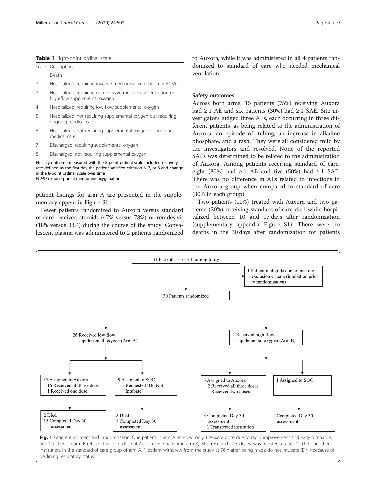<span id="page-5-0"></span>

|  |  | Table 1 Eight-point ordinal scale |  |  |
|--|--|-----------------------------------|--|--|
|--|--|-----------------------------------|--|--|

|   | Scale Description                                                                               |
|---|-------------------------------------------------------------------------------------------------|
|   | Death                                                                                           |
| 2 | Hospitalized, requiring invasive mechanical ventilation or ECMO                                 |
| 3 | Hospitalized, requiring non-invasive mechanical ventilation or<br>high-flow supplemental oxygen |
| 4 | Hospitalized, requiring low-flow supplemental oxygen                                            |
| 5 | Hospitalized, not requiring supplemental oxygen but requiring<br>ongoing medical care           |
| 6 | Hospitalized, not requiring supplemental oxygen or ongoing<br>medical care                      |
|   | Discharged, requiring supplemental oxygen                                                       |

8 Discharged, not requiring supplemental oxygen

Efficacy outcome measured with the 8-point ordinal scale included recovery rate defined as the first day the patient satisfied criterion 6, 7, or 8 and change in the 8-point ordinal scale over time ECMO extracorporeal membrane oxygenation

patient listings for arm A are presented in the supplementary appendix Figure [S1](#page-9-0).

Fewer patients randomized to Auxora versus standard of care received steroids (47% versus 78%) or remdesivir (18% versus 33%) during the course of the study. Convalescent plasma was administered to 2 patients randomized to Auxora, while it was administered in all 4 patients randomized to standard of care who needed mechanical ventilation.

#### Safety outcomes

Across both arms, 15 patients (75%) receiving Auxora had ≥ 1 AE and six patients (30%) had ≥ 1 SAE. Site investigators judged three AEs, each occurring in three different patients, as being related to the administration of Auxora: an episode of itching, an increase in alkaline phosphate, and a rash. They were all considered mild by the investigators and resolved. None of the reported SAEs was determined to be related to the administration of Auxora. Among patients receiving standard of care, eight (80%) had  $\geq 1$  AE and five (50%) had  $\geq 1$  SAE. There was no difference in AEs related to infections in the Auxora group when compared to standard of care (30% in each group).

Two patients (10%) treated with Auxora and two patients (20%) receiving standard of care died while hospitalized between 10 and 17 days after randomization (supplementary appendix Figure [S1](#page-9-0)). There were no deaths in the 30 days after randomization for patients

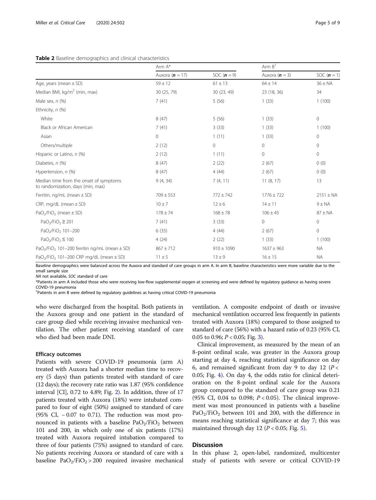#### <span id="page-6-0"></span>Table 2 Baseline demographics and clinical characteristics

|                                                                             | Arm A*              |                | Arm B <sup>†</sup> |                     |
|-----------------------------------------------------------------------------|---------------------|----------------|--------------------|---------------------|
|                                                                             | Auxora ( $n = 17$ ) | SOC $(n = 9)$  | Auxora $(n = 3)$   | SOC $(n = 1)$       |
| Age, years (mean $\pm$ SD)                                                  | $59 \pm 12$         | $61 \pm 13$    | $64 \pm 14$        | $36 \pm NA$         |
| Median BMI, $\text{kg/m}^2$ (min, max)                                      | 30 (25, 79)         | 30 (23, 49)    | 23 (18, 36)        | 34                  |
| Male sex, $n$ (%)                                                           | 7(41)               | 5(56)          | 1(33)              | 1(100)              |
| Ethnicity, n (%)                                                            |                     |                |                    |                     |
| White                                                                       | 8(47)               | 5(56)          | 1(33)              | $\overline{0}$      |
| Black or African American                                                   | 7(41)               | 3(33)          | 1(33)              | 1(100)              |
| Asian                                                                       | $\circ$             | 1(11)          | 1(33)              | $\circ$             |
| Others/multiple                                                             | 2(12)               | 0              | $\mathbf 0$        | $\circ$             |
| Hispanic or Latino, n (%)                                                   | 2(12)               | 1(11)          | $\mathbf 0$        | 0                   |
| Diabetes, n (%)                                                             | 8(47)               | 2(22)          | 2(67)              | 0(0)                |
| Hypertension, n (%)                                                         | 8(47)               | 4(44)          | 2(67)              | 0(0)                |
| Median time from the onset of symptoms<br>to randomization, days (min, max) | 9(4, 34)            | 7(4, 11)       | 11(8, 17)          | 13                  |
| Ferritin, $nq/mL$ (mean $\pm$ SD)                                           | $709 \pm 553$       | $772 \pm 742$  | $1776 \pm 722$     | $2151 \pm NA$       |
| CRP, mg/dL (mean $\pm$ SD)                                                  | $10 \pm 7$          | $12 \pm 6$     | $14 \pm 11$        | $9 \pm NA$          |
| $PaO2/FiO2$ (mean $\pm$ SD)                                                 | $178 \pm 74$        | $168 \pm 78$   | $106 \pm 45$       | $87 \pm NA$         |
| $PaO2/FiO2 \ge 201$                                                         | 7(41)               | 3(33)          | $\circ$            | $\circ$             |
| PaO <sub>2</sub> /FiO <sub>2</sub> 101-200                                  | 6(35)               | 4(44)          | 2(67)              | $\mathsf{O}\xspace$ |
| $PaO2/FiO2 \le 100$                                                         | 4(24)               | 2(22)          | 1(33)              | 1(100)              |
| PaO <sub>2</sub> /FiO <sub>2</sub> 101-200 ferritin ng/mL (mean $\pm$ SD)   | $867 \pm 712$       | $910 \pm 1090$ | $1637 \pm 963$     | <b>NA</b>           |
| PaO <sub>2</sub> /FiO <sub>2</sub> 101-200 CRP mg/dL (mean $\pm$ SD)        | $11 \pm 5$          | $13 \pm 9$     | $16 \pm 15$        | <b>NA</b>           |

Baseline demographics were balanced across the Auxora and standard of care groups in arm A. In arm B, baseline characteristics were more variable due to the small sample size

NA not available, SOC standard of care

\*Patients in arm A included those who were receiving low-flow supplemental oxygen at screening and were defined by regulatory guidance as having severe COVID-19 pneumonia

† Patients in arm B were defined by regulatory guidelines as having critical COVID-19 pneumonia

who were discharged from the hospital. Both patients in the Auxora group and one patient in the standard of care group died while receiving invasive mechanical ventilation. The other patient receiving standard of care who died had been made DNI.

#### Efficacy outcomes

Patients with severe COVID-19 pneumonia (arm A) treated with Auxora had a shorter median time to recovery (5 days) than patients treated with standard of care (12 days); the recovery rate ratio was 1.87 (95% confidence interval [CI], 0.72 to 4.89; Fig. [2](#page-7-0)). In addition, three of 17 patients treated with Auxora (18%) were intubated compared to four of eight (50%) assigned to standard of care (95% CI, − 0.07 to 0.71). The reduction was most pronounced in patients with a baseline  $PaO<sub>2</sub>/FiO<sub>2</sub>$  between 101 and 200, in which only one of six patients (17%) treated with Auxora required intubation compared to three of four patients (75%) assigned to standard of care. No patients receiving Auxora or standard of care with a baseline  $PaO<sub>2</sub>/FiO<sub>2</sub> > 200$  required invasive mechanical ventilation. A composite endpoint of death or invasive mechanical ventilation occurred less frequently in patients treated with Auxora (18%) compared to those assigned to standard of care (56%) with a hazard ratio of 0.23 (95% CI, 0.05 to 0.96;  $P < 0.05$ ; Fig. [3](#page-7-0)).

Clinical improvement, as measured by the mean of an 8-point ordinal scale, was greater in the Auxora group starting at day 4, reaching statistical significance on day 6, and remained significant from day 9 to day 12 ( $P <$ 0.05; Fig. [4\)](#page-8-0). On day 4, the odds ratio for clinical deterioration on the 8-point ordinal scale for the Auxora group compared to the standard of care group was 0.21 (95% CI, 0.04 to 0.098;  $P < 0.05$ ). The clinical improvement was most pronounced in patients with a baseline  $PaO<sub>2</sub>/FiO<sub>2</sub>$  between 101 and 200, with the difference in means reaching statistical significance at day 7; this was maintained through day 12 ( $P < 0.05$ ; Fig. [5\)](#page-8-0).

### **Discussion**

In this phase 2, open-label, randomized, multicenter study of patients with severe or critical COVID-19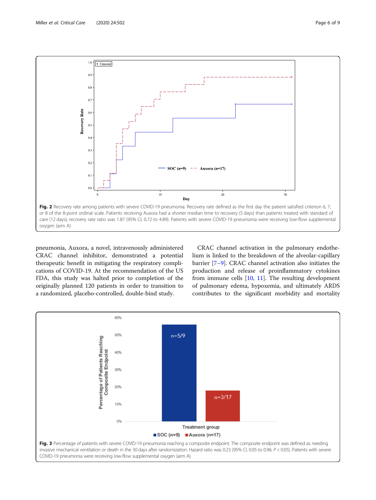<span id="page-7-0"></span>

pneumonia, Auxora, a novel, intravenously administered CRAC channel inhibitor, demonstrated a potential therapeutic benefit in mitigating the respiratory complications of COVID-19. At the recommendation of the US FDA, this study was halted prior to completion of the originally planned 120 patients in order to transition to a randomized, placebo-controlled, double-bind study.

CRAC channel activation in the pulmonary endothelium is linked to the breakdown of the alveolar-capillary barrier [[7](#page-10-0)–[9\]](#page-10-0). CRAC channel activation also initiates the production and release of proinflammatory cytokines from immune cells [\[10](#page-10-0), [11](#page-10-0)]. The resulting development of pulmonary edema, hypoxemia, and ultimately ARDS contributes to the significant morbidity and mortality

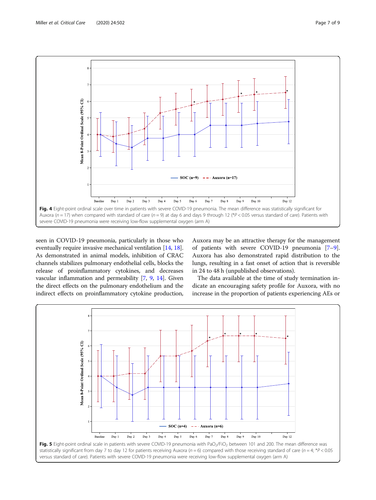<span id="page-8-0"></span>

seen in COVID-19 pneumonia, particularly in those who eventually require invasive mechanical ventilation [\[14,](#page-10-0) [18](#page-10-0)]. As demonstrated in animal models, inhibition of CRAC channels stabilizes pulmonary endothelial cells, blocks the release of proinflammatory cytokines, and decreases vascular inflammation and permeability [\[7](#page-10-0), [9,](#page-10-0) [14\]](#page-10-0). Given the direct effects on the pulmonary endothelium and the indirect effects on proinflammatory cytokine production,

Auxora may be an attractive therapy for the management of patients with severe COVID-19 pneumonia [[7](#page-10-0)–[9](#page-10-0)]. Auxora has also demonstrated rapid distribution to the lungs, resulting in a fast onset of action that is reversible in 24 to 48 h (unpublished observations).

The data available at the time of study termination indicate an encouraging safety profile for Auxora, with no increase in the proportion of patients experiencing AEs or



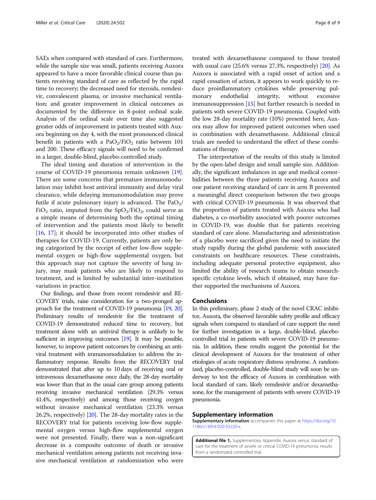<span id="page-9-0"></span>SAEs when compared with standard of care. Furthermore, while the sample size was small, patients receiving Auxora appeared to have a more favorable clinical course than patients receiving standard of care as reflected by the rapid time to recovery; the decreased need for steroids, remdesivir, convalescent plasma, or invasive mechanical ventilation; and greater improvement in clinical outcomes as documented by the difference in 8-point ordinal scale. Analysis of the ordinal scale over time also suggested greater odds of improvement in patients treated with Auxora beginning on day 4, with the most pronounced clinical benefit in patients with a  $PaO<sub>2</sub>/FiO<sub>2</sub>$  ratio between 101 and 200. These efficacy signals will need to be confirmed in a larger, double-blind, placebo-controlled study.

The ideal timing and duration of intervention in the course of COVID-19 pneumonia remain unknown [\[19](#page-10-0)]. There are some concerns that premature immunomodulation may inhibit host antiviral immunity and delay viral clearance, while delaying immunomodulation may prove futile if acute pulmonary injury is advanced. The  $PaO<sub>2</sub>/$ FiO<sub>2</sub> ratio, imputed from the  $SpO<sub>2</sub>/FiO<sub>2</sub>$ , could serve as a simple means of determining both the optimal timing of intervention and the patients most likely to benefit [[16,](#page-10-0) [17](#page-10-0)]; it should be incorporated into other studies of therapies for COVID-19. Currently, patients are only being categorized by the receipt of either low-flow supplemental oxygen or high-flow supplemental oxygen, but this approach may not capture the severity of lung injury, may mask patients who are likely to respond to treatment, and is limited by substantial inter-institution variations in practice.

Our findings, and those from recent remdesivir and RE-COVERY trials, raise consideration for a two-pronged approach for the treatment of COVID-19 pneumonia [\[19](#page-10-0), [20\]](#page-10-0). Preliminary results of remdesivir for the treatment of COVID-19 demonstrated reduced time to recovery, but treatment alone with an antiviral therapy is unlikely to be sufficient in improving outcomes [[19\]](#page-10-0). It may be possible, however, to improve patient outcomes by combining an antiviral treatment with immunomodulation to address the inflammatory response. Results from the RECOVERY trial demonstrated that after up to 10 days of receiving oral or intravenous dexamethasone once daily, the 28-day mortality was lower than that in the usual care group among patients receiving invasive mechanical ventilation (29.3% versus 41.4%, respectively) and among those receiving oxygen without invasive mechanical ventilation (23.3% versus 26.2%, respectively) [\[20\]](#page-10-0). The 28-day mortality rates in the RECOVERY trial for patients receiving low-flow supplemental oxygen versus high-flow supplemental oxygen were not presented. Finally, there was a non-significant decrease in a composite outcome of death or invasive mechanical ventilation among patients not receiving invasive mechanical ventilation at randomization who were treated with dexamethasone compared to those treated with usual care (25.6% versus 27.3%, respectively) [\[20\]](#page-10-0). As Auxora is associated with a rapid onset of action and a rapid cessation of action, it appears to work quickly to reduce proinflammatory cytokines while preserving pulmonary endothelial integrity, without excessive immunosuppression [\[15\]](#page-10-0) but further research is needed in patients with severe COVID-19 pneumonia. Coupled with the low 28-day mortality rate (10%) presented here, Auxora may allow for improved patient outcomes when used in combination with dexamethasone. Additional clinical trials are needed to understand the effect of these combinations of therapy.

The interpretation of the results of this study is limited by the open-label design and small sample size. Additionally, the significant imbalances in age and medical comorbidities between the three patients receiving Auxora and one patient receiving standard of care in arm B prevented a meaningful direct comparison between the two groups with critical COVID-19 pneumonia. It was observed that the proportion of patients treated with Auxora who had diabetes, a co-morbidity associated with poorer outcomes in COVID-19, was double that for patients receiving standard of care alone. Manufacturing and administration of a placebo were sacrificed given the need to initiate the study rapidly during the global pandemic with associated constraints on healthcare resources. These constraints, including adequate personal protective equipment, also limited the ability of research teams to obtain researchspecific cytokine levels, which if obtained, may have further supported the mechanisms of Auxora.

#### Conclusions

In this preliminary, phase 2 study of the novel CRAC inhibitor, Auxora, the observed favorable safety profile and efficacy signals when compared to standard of care support the need for further investigation in a large, double-blind, placebocontrolled trial in patients with severe COVID-19 pneumonia. In addition, these results suggest the potential for the clinical development of Auxora for the treatment of other etiologies of acute respiratory distress syndrome. A randomized, placebo-controlled, double-blind study will soon be underway to test the efficacy of Auxora in combination with local standard of care, likely remdesivir and/or dexamethasone, for the management of patients with severe COVID-19 pneumonia.

#### Supplementary information

Supplementary information accompanies this paper at [https://doi.org/10.](https://doi.org/10.1186/s13054-020-03220-x) [1186/s13054-020-03220-x.](https://doi.org/10.1186/s13054-020-03220-x)

Additional file 1. Supplementary Appendix: Auxora versus standard of care for the treatment of severe or critical COVID-19 pneumonia: results from a randomized controlled trial.